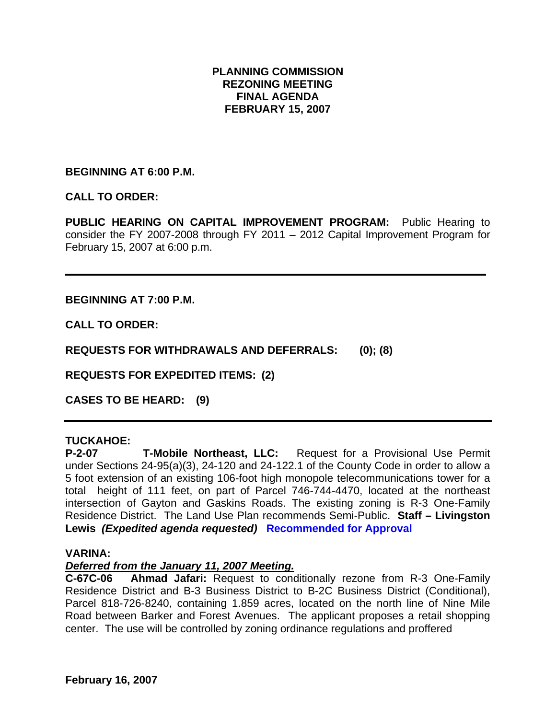# **PLANNING COMMISSION REZONING MEETING FINAL AGENDA FEBRUARY 15, 2007**

**BEGINNING AT 6:00 P.M.** 

**CALL TO ORDER:** 

**PUBLIC HEARING ON CAPITAL IMPROVEMENT PROGRAM:** Public Hearing to consider the FY 2007-2008 through FY 2011 – 2012 Capital Improvement Program for February 15, 2007 at 6:00 p.m.

**BEGINNING AT 7:00 P.M.** 

**CALL TO ORDER:** 

**REQUESTS FOR WITHDRAWALS AND DEFERRALS: (0); (8)** 

**REQUESTS FOR EXPEDITED ITEMS: (2)** 

**CASES TO BE HEARD: (9)** 

# **TUCKAHOE:**

**P-2-07 T-Mobile Northeast, LLC:** Request for a Provisional Use Permit under Sections 24-95(a)(3), 24-120 and 24-122.1 of the County Code in order to allow a 5 foot extension of an existing 106-foot high monopole telecommunications tower for a total height of 111 feet, on part of Parcel 746-744-4470, located at the northeast intersection of Gayton and Gaskins Roads. The existing zoning is R-3 One-Family Residence District. The Land Use Plan recommends Semi-Public. **Staff – Livingston Lewis** *(Expedited agenda requested)* **Recommended for Approval** 

#### **VARINA:**

#### *Deferred from the January 11, 2007 Meeting.*

**C-67C-06 Ahmad Jafari:** Request to conditionally rezone from R-3 One-Family Residence District and B-3 Business District to B-2C Business District (Conditional), Parcel 818-726-8240, containing 1.859 acres, located on the north line of Nine Mile Road between Barker and Forest Avenues. The applicant proposes a retail shopping center. The use will be controlled by zoning ordinance regulations and proffered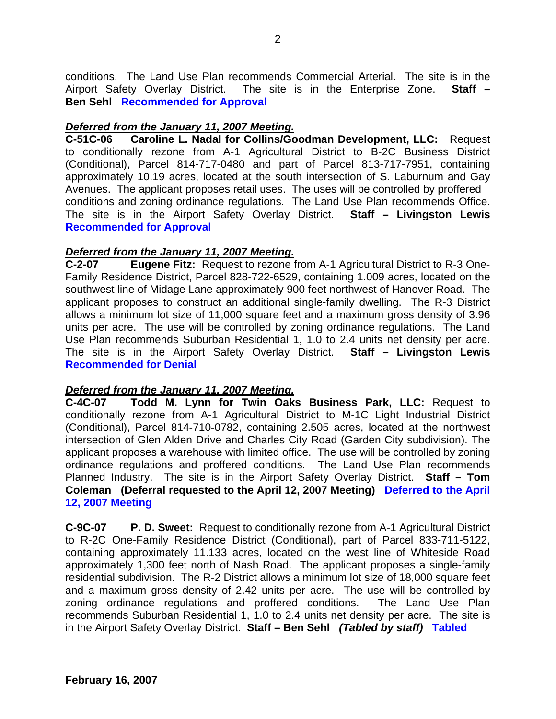conditions. The Land Use Plan recommends Commercial Arterial. The site is in the Airport Safety Overlay District. The site is in the Enterprise Zone. **Staff – Ben Sehl Recommended for Approval** 

## *Deferred from the January 11, 2007 Meeting.*

**C-51C-06 Caroline L. Nadal for Collins/Goodman Development, LLC:** Request to conditionally rezone from A-1 Agricultural District to B-2C Business District (Conditional), Parcel 814-717-0480 and part of Parcel 813-717-7951, containing approximately 10.19 acres, located at the south intersection of S. Laburnum and Gay Avenues. The applicant proposes retail uses. The uses will be controlled by proffered conditions and zoning ordinance regulations. The Land Use Plan recommends Office. The site is in the Airport Safety Overlay District. **Staff – Livingston Lewis Recommended for Approval** 

#### *Deferred from the January 11, 2007 Meeting.*

**C-2-07 Eugene Fitz:** Request to rezone from A-1 Agricultural District to R-3 One-Family Residence District, Parcel 828-722-6529, containing 1.009 acres, located on the southwest line of Midage Lane approximately 900 feet northwest of Hanover Road. The applicant proposes to construct an additional single-family dwelling. The R-3 District allows a minimum lot size of 11,000 square feet and a maximum gross density of 3.96 units per acre. The use will be controlled by zoning ordinance regulations. The Land Use Plan recommends Suburban Residential 1, 1.0 to 2.4 units net density per acre. The site is in the Airport Safety Overlay District. **Staff – Livingston Lewis Recommended for Denial**

# *Deferred from the January 11, 2007 Meeting.*

**C-4C-07 Todd M. Lynn for Twin Oaks Business Park, LLC:** Request to conditionally rezone from A-1 Agricultural District to M-1C Light Industrial District (Conditional), Parcel 814-710-0782, containing 2.505 acres, located at the northwest intersection of Glen Alden Drive and Charles City Road (Garden City subdivision). The applicant proposes a warehouse with limited office. The use will be controlled by zoning ordinance regulations and proffered conditions. The Land Use Plan recommends Planned Industry. The site is in the Airport Safety Overlay District. **Staff – Tom Coleman (Deferral requested to the April 12, 2007 Meeting) Deferred to the April 12, 2007 Meeting** 

**C-9C-07 P. D. Sweet:** Request to conditionally rezone from A-1 Agricultural District to R-2C One-Family Residence District (Conditional), part of Parcel 833-711-5122, containing approximately 11.133 acres, located on the west line of Whiteside Road approximately 1,300 feet north of Nash Road. The applicant proposes a single-family residential subdivision. The R-2 District allows a minimum lot size of 18,000 square feet and a maximum gross density of 2.42 units per acre. The use will be controlled by zoning ordinance regulations and proffered conditions. The Land Use Plan recommends Suburban Residential 1, 1.0 to 2.4 units net density per acre. The site is in the Airport Safety Overlay District. **Staff – Ben Sehl** *(Tabled by staff)* **Tabled**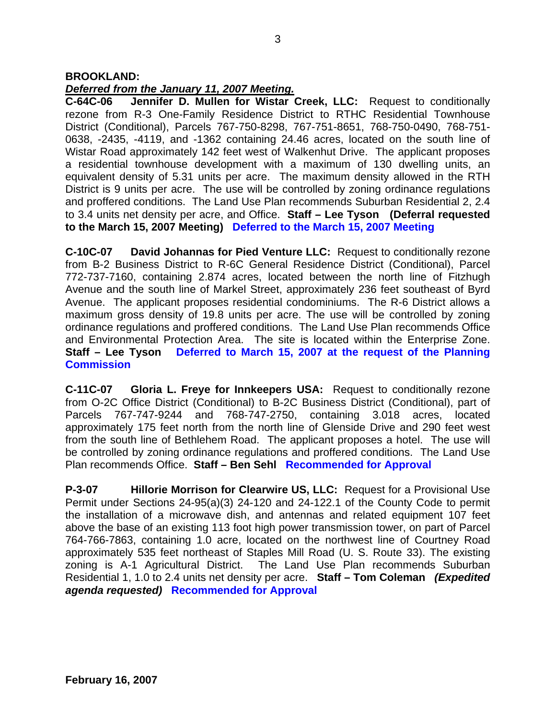## **BROOKLAND:**

#### *Deferred from the January 11, 2007 Meeting.*

**C-64C-06 Jennifer D. Mullen for Wistar Creek, LLC:** Request to conditionally rezone from R-3 One-Family Residence District to RTHC Residential Townhouse District (Conditional), Parcels 767-750-8298, 767-751-8651, 768-750-0490, 768-751- 0638, -2435, -4119, and -1362 containing 24.46 acres, located on the south line of Wistar Road approximately 142 feet west of Walkenhut Drive. The applicant proposes a residential townhouse development with a maximum of 130 dwelling units, an equivalent density of 5.31 units per acre. The maximum density allowed in the RTH District is 9 units per acre. The use will be controlled by zoning ordinance regulations and proffered conditions. The Land Use Plan recommends Suburban Residential 2, 2.4 to 3.4 units net density per acre, and Office. **Staff – Lee Tyson (Deferral requested to the March 15, 2007 Meeting) Deferred to the March 15, 2007 Meeting** 

**C-10C-07 David Johannas for Pied Venture LLC:** Request to conditionally rezone from B-2 Business District to R-6C General Residence District (Conditional), Parcel 772-737-7160, containing 2.874 acres, located between the north line of Fitzhugh Avenue and the south line of Markel Street, approximately 236 feet southeast of Byrd Avenue. The applicant proposes residential condominiums. The R-6 District allows a maximum gross density of 19.8 units per acre. The use will be controlled by zoning ordinance regulations and proffered conditions. The Land Use Plan recommends Office and Environmental Protection Area. The site is located within the Enterprise Zone. **Staff – Lee Tyson Deferred to March 15, 2007 at the request of the Planning Commission** 

**C-11C-07 Gloria L. Freye for Innkeepers USA:** Request to conditionally rezone from O-2C Office District (Conditional) to B-2C Business District (Conditional), part of Parcels 767-747-9244 and 768-747-2750, containing 3.018 acres, located approximately 175 feet north from the north line of Glenside Drive and 290 feet west from the south line of Bethlehem Road. The applicant proposes a hotel. The use will be controlled by zoning ordinance regulations and proffered conditions. The Land Use Plan recommends Office. **Staff – Ben Sehl Recommended for Approval**

**P-3-07 Hillorie Morrison for Clearwire US, LLC:** Request for a Provisional Use Permit under Sections 24-95(a)(3) 24-120 and 24-122.1 of the County Code to permit the installation of a microwave dish, and antennas and related equipment 107 feet above the base of an existing 113 foot high power transmission tower, on part of Parcel 764-766-7863, containing 1.0 acre, located on the northwest line of Courtney Road approximately 535 feet northeast of Staples Mill Road (U. S. Route 33). The existing zoning is A-1 Agricultural District. The Land Use Plan recommends Suburban Residential 1, 1.0 to 2.4 units net density per acre. **Staff – Tom Coleman** *(Expedited agenda requested)* **Recommended for Approval**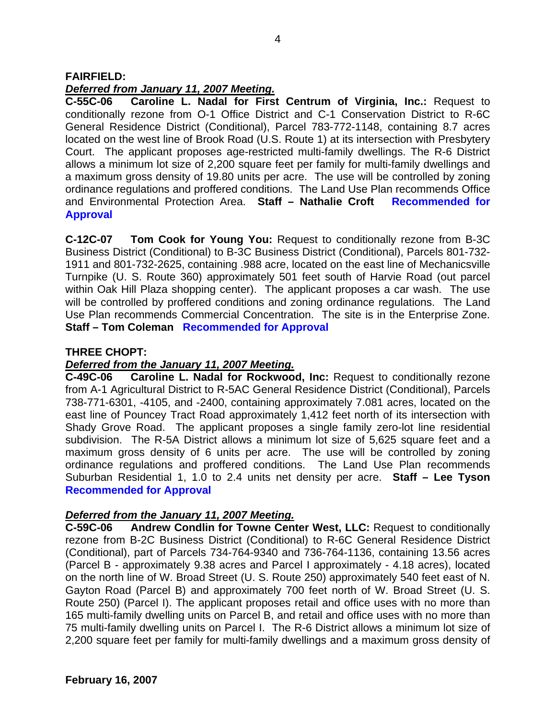## **FAIRFIELD:**

## *Deferred from January 11, 2007 Meeting.*

**C-55C-06 Caroline L. Nadal for First Centrum of Virginia, Inc.:** Request to conditionally rezone from O-1 Office District and C-1 Conservation District to R-6C General Residence District (Conditional), Parcel 783-772-1148, containing 8.7 acres located on the west line of Brook Road (U.S. Route 1) at its intersection with Presbytery Court. The applicant proposes age-restricted multi-family dwellings. The R-6 District allows a minimum lot size of 2,200 square feet per family for multi-family dwellings and a maximum gross density of 19.80 units per acre. The use will be controlled by zoning ordinance regulations and proffered conditions. The Land Use Plan recommends Office and Environmental Protection Area. **Staff – Nathalie Croft Recommended for Approval**

**C-12C-07 Tom Cook for Young You:** Request to conditionally rezone from B-3C Business District (Conditional) to B-3C Business District (Conditional), Parcels 801-732- 1911 and 801-732-2625, containing .988 acre, located on the east line of Mechanicsville Turnpike (U. S. Route 360) approximately 501 feet south of Harvie Road (out parcel within Oak Hill Plaza shopping center). The applicant proposes a car wash. The use will be controlled by proffered conditions and zoning ordinance regulations. The Land Use Plan recommends Commercial Concentration. The site is in the Enterprise Zone. **Staff – Tom Coleman Recommended for Approval**

### **THREE CHOPT:**

### *Deferred from the January 11, 2007 Meeting.*

**C-49C-06 Caroline L. Nadal for Rockwood, Inc:** Request to conditionally rezone from A-1 Agricultural District to R-5AC General Residence District (Conditional), Parcels 738-771-6301, -4105, and -2400, containing approximately 7.081 acres, located on the east line of Pouncey Tract Road approximately 1,412 feet north of its intersection with Shady Grove Road. The applicant proposes a single family zero-lot line residential subdivision. The R-5A District allows a minimum lot size of 5,625 square feet and a maximum gross density of 6 units per acre. The use will be controlled by zoning ordinance regulations and proffered conditions. The Land Use Plan recommends Suburban Residential 1, 1.0 to 2.4 units net density per acre. **Staff – Lee Tyson Recommended for Approval** 

#### *Deferred from the January 11, 2007 Meeting.*

**C-59C-06 Andrew Condlin for Towne Center West, LLC:** Request to conditionally rezone from B-2C Business District (Conditional) to R-6C General Residence District (Conditional), part of Parcels 734-764-9340 and 736-764-1136, containing 13.56 acres (Parcel B - approximately 9.38 acres and Parcel I approximately - 4.18 acres), located on the north line of W. Broad Street (U. S. Route 250) approximately 540 feet east of N. Gayton Road (Parcel B) and approximately 700 feet north of W. Broad Street (U. S. Route 250) (Parcel I). The applicant proposes retail and office uses with no more than 165 multi-family dwelling units on Parcel B, and retail and office uses with no more than 75 multi-family dwelling units on Parcel I. The R-6 District allows a minimum lot size of 2,200 square feet per family for multi-family dwellings and a maximum gross density of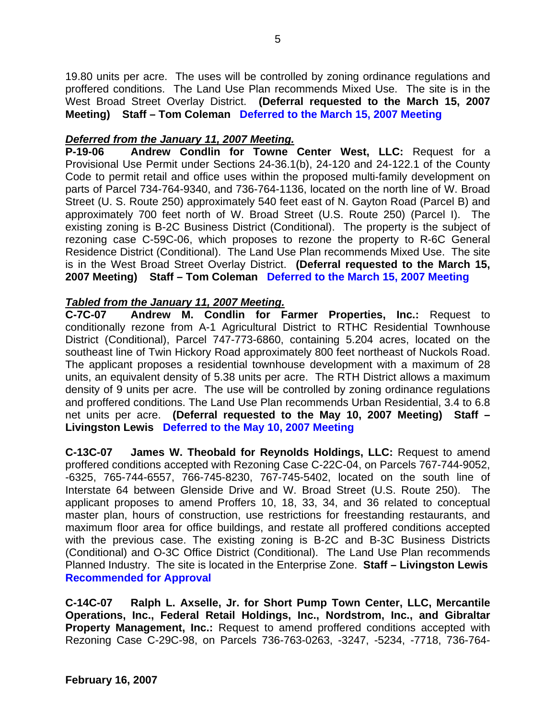19.80 units per acre. The uses will be controlled by zoning ordinance regulations and proffered conditions. The Land Use Plan recommends Mixed Use. The site is in the West Broad Street Overlay District. **(Deferral requested to the March 15, 2007 Meeting) Staff – Tom Coleman Deferred to the March 15, 2007 Meeting** 

## *Deferred from the January 11, 2007 Meeting.*

**P-19-06 Andrew Condlin for Towne Center West, LLC:** Request for a Provisional Use Permit under Sections 24-36.1(b), 24-120 and 24-122.1 of the County Code to permit retail and office uses within the proposed multi-family development on parts of Parcel 734-764-9340, and 736-764-1136, located on the north line of W. Broad Street (U. S. Route 250) approximately 540 feet east of N. Gayton Road (Parcel B) and approximately 700 feet north of W. Broad Street (U.S. Route 250) (Parcel I). The existing zoning is B-2C Business District (Conditional). The property is the subject of rezoning case C-59C-06, which proposes to rezone the property to R-6C General Residence District (Conditional). The Land Use Plan recommends Mixed Use. The site is in the West Broad Street Overlay District. **(Deferral requested to the March 15, 2007 Meeting) Staff – Tom Coleman Deferred to the March 15, 2007 Meeting** 

# *Tabled from the January 11, 2007 Meeting.*

**C-7C-07 Andrew M. Condlin for Farmer Properties, Inc.:** Request to conditionally rezone from A-1 Agricultural District to RTHC Residential Townhouse District (Conditional), Parcel 747-773-6860, containing 5.204 acres, located on the southeast line of Twin Hickory Road approximately 800 feet northeast of Nuckols Road. The applicant proposes a residential townhouse development with a maximum of 28 units, an equivalent density of 5.38 units per acre. The RTH District allows a maximum density of 9 units per acre. The use will be controlled by zoning ordinance regulations and proffered conditions. The Land Use Plan recommends Urban Residential, 3.4 to 6.8 net units per acre. **(Deferral requested to the May 10, 2007 Meeting)****Staff – Livingston Lewis Deferred to the May 10, 2007 Meeting** 

**C-13C-07 James W. Theobald for Reynolds Holdings, LLC:** Request to amend proffered conditions accepted with Rezoning Case C-22C-04, on Parcels 767-744-9052, -6325, 765-744-6557, 766-745-8230, 767-745-5402, located on the south line of Interstate 64 between Glenside Drive and W. Broad Street (U.S. Route 250). The applicant proposes to amend Proffers 10, 18, 33, 34, and 36 related to conceptual master plan, hours of construction, use restrictions for freestanding restaurants, and maximum floor area for office buildings, and restate all proffered conditions accepted with the previous case. The existing zoning is B-2C and B-3C Business Districts (Conditional) and O-3C Office District (Conditional). The Land Use Plan recommends Planned Industry. The site is located in the Enterprise Zone. **Staff – Livingston Lewis Recommended for Approval** 

**C-14C-07 Ralph L. Axselle, Jr. for Short Pump Town Center, LLC, Mercantile Operations, Inc., Federal Retail Holdings, Inc., Nordstrom, Inc., and Gibraltar Property Management, Inc.:** Request to amend proffered conditions accepted with Rezoning Case C-29C-98, on Parcels 736-763-0263, -3247, -5234, -7718, 736-764-